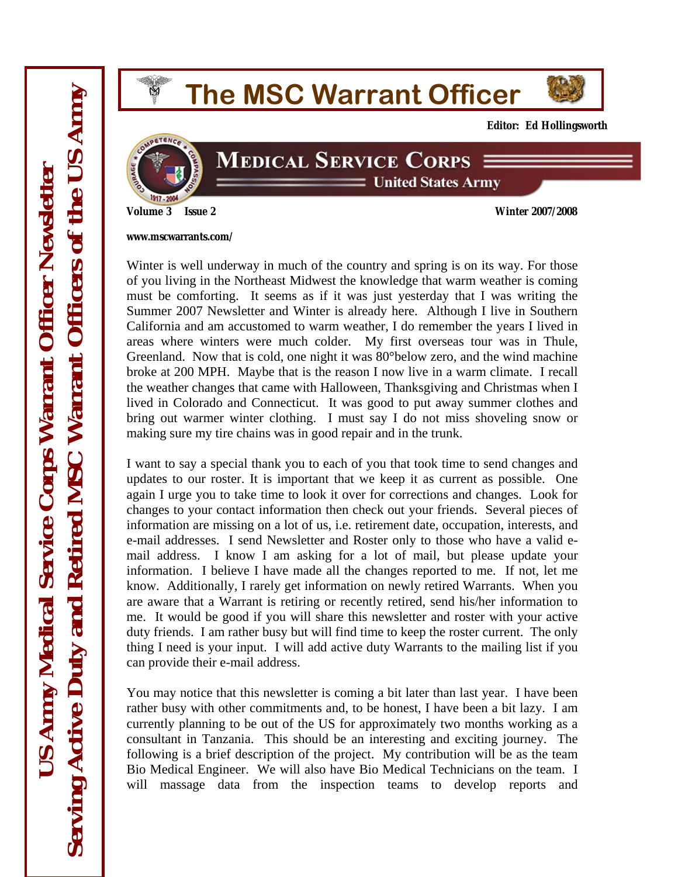# **The MSC Warrant Officer**



**Editor: Ed Hollingsworth** 



#### **MEDICAL SERVICE CORPS Example 31 United States Army**

**Volume 3 Issue 2 Winter 2007/2008** 

**www.mscwarrants.com/** 

Winter is well underway in much of the country and spring is on its way. For those of you living in the Northeast Midwest the knowledge that warm weather is coming must be comforting. It seems as if it was just yesterday that I was writing the Summer 2007 Newsletter and Winter is already here. Although I live in Southern California and am accustomed to warm weather, I do remember the years I lived in areas where winters were much colder. My first overseas tour was in Thule, Greenland. Now that is cold, one night it was 80°below zero, and the wind machine broke at 200 MPH. Maybe that is the reason I now live in a warm climate. I recall the weather changes that came with Halloween, Thanksgiving and Christmas when I lived in Colorado and Connecticut. It was good to put away summer clothes and bring out warmer winter clothing. I must say I do not miss shoveling snow or making sure my tire chains was in good repair and in the trunk.

I want to say a special thank you to each of you that took time to send changes and updates to our roster. It is important that we keep it as current as possible. One again I urge you to take time to look it over for corrections and changes. Look for changes to your contact information then check out your friends. Several pieces of information are missing on a lot of us, i.e. retirement date, occupation, interests, and e-mail addresses. I send Newsletter and Roster only to those who have a valid email address. I know I am asking for a lot of mail, but please update your information. I believe I have made all the changes reported to me. If not, let me know. Additionally, I rarely get information on newly retired Warrants. When you are aware that a Warrant is retiring or recently retired, send his/her information to me. It would be good if you will share this newsletter and roster with your active duty friends. I am rather busy but will find time to keep the roster current. The only thing I need is your input. I will add active duty Warrants to the mailing list if you can provide their e-mail address.

You may notice that this newsletter is coming a bit later than last year. I have been rather busy with other commitments and, to be honest, I have been a bit lazy. I am currently planning to be out of the US for approximately two months working as a consultant in Tanzania. This should be an interesting and exciting journey. The following is a brief description of the project. My contribution will be as the team Bio Medical Engineer. We will also have Bio Medical Technicians on the team. I will massage data from the inspection teams to develop reports and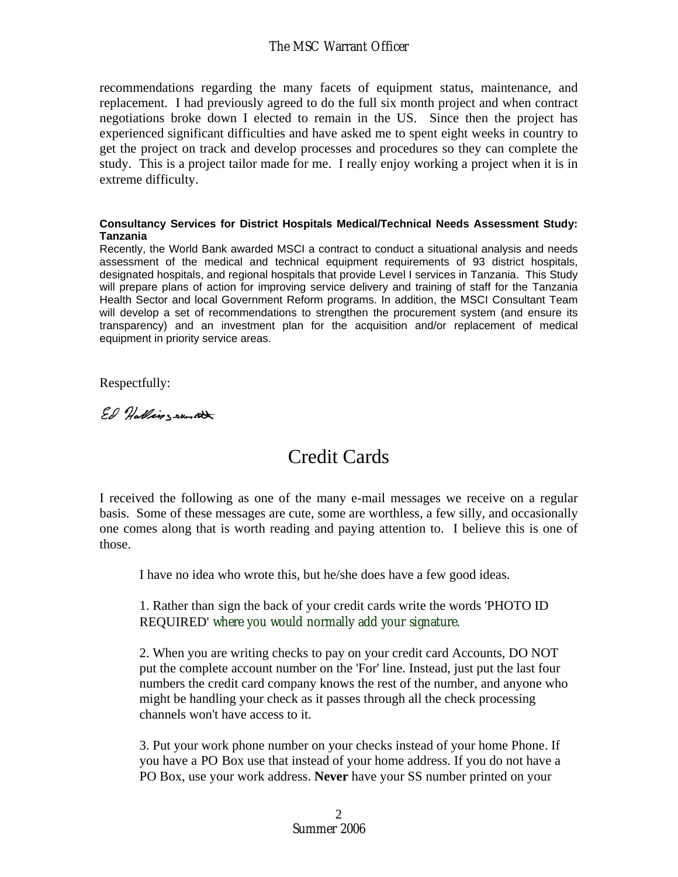recommendations regarding the many facets of equipment status, maintenance, and replacement. I had previously agreed to do the full six month project and when contract negotiations broke down I elected to remain in the US. Since then the project has experienced significant difficulties and have asked me to spent eight weeks in country to get the project on track and develop processes and procedures so they can complete the study. This is a project tailor made for me. I really enjoy working a project when it is in extreme difficulty.

#### **Consultancy Services for District Hospitals Medical/Technical Needs Assessment Study: Tanzania**

Recently, the World Bank awarded MSCI a contract to conduct a situational analysis and needs assessment of the medical and technical equipment requirements of 93 district hospitals, designated hospitals, and regional hospitals that provide Level I services in Tanzania. This Study will prepare plans of action for improving service delivery and training of staff for the Tanzania Health Sector and local Government Reform programs. In addition, the MSCI Consultant Team will develop a set of recommendations to strengthen the procurement system (and ensure its transparency) and an investment plan for the acquisition and/or replacement of medical equipment in priority service areas.

Respectfully:

Ed Hallingsunst

### Credit Cards

I received the following as one of the many e-mail messages we receive on a regular basis. Some of these messages are cute, some are worthless, a few silly, and occasionally one comes along that is worth reading and paying attention to. I believe this is one of those.

I have no idea who wrote this, but he/she does have a few good ideas.

1. Rather than sign the back of your credit cards write the words 'PHOTO ID REQUIRED' where you would normally add your signature.

2. When you are writing checks to pay on your credit card Accounts, DO NOT put the complete account number on the 'For' line. Instead, just put the last four numbers the credit card company knows the rest of the number, and anyone who might be handling your check as it passes through all the check processing channels won't have access to it.

3. Put your work phone number on your checks instead of your home Phone. If you have a PO Box use that instead of your home address. If you do not have a PO Box, use your work address. **Never** have your SS number printed on your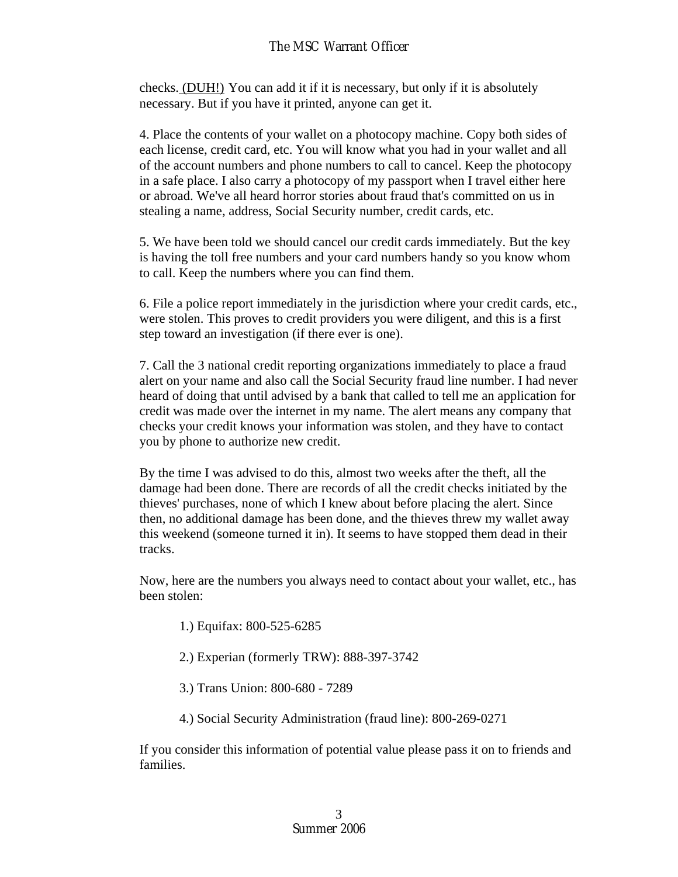checks. (DUH!) You can add it if it is necessary, but only if it is absolutely necessary. But if you have it printed, anyone can get it.

4. Place the contents of your wallet on a photocopy machine. Copy both sides of each license, credit card, etc. You will know what you had in your wallet and all of the account numbers and phone numbers to call to cancel. Keep the photocopy in a safe place. I also carry a photocopy of my passport when I travel either here or abroad. We've all heard horror stories about fraud that's committed on us in stealing a name, address, Social Security number, credit cards, etc.

5. We have been told we should cancel our credit cards immediately. But the key is having the toll free numbers and your card numbers handy so you know whom to call. Keep the numbers where you can find them.

6. File a police report immediately in the jurisdiction where your credit cards, etc., were stolen. This proves to credit providers you were diligent, and this is a first step toward an investigation (if there ever is one).

7. Call the 3 national credit reporting organizations immediately to place a fraud alert on your name and also call the Social Security fraud line number. I had never heard of doing that until advised by a bank that called to tell me an application for credit was made over the internet in my name. The alert means any company that checks your credit knows your information was stolen, and they have to contact you by phone to authorize new credit.

By the time I was advised to do this, almost two weeks after the theft, all the damage had been done. There are records of all the credit checks initiated by the thieves' purchases, none of which I knew about before placing the alert. Since then, no additional damage has been done, and the thieves threw my wallet away this weekend (someone turned it in). It seems to have stopped them dead in their tracks.

Now, here are the numbers you always need to contact about your wallet, etc., has been stolen:

- 1.) Equifax: 800-525-6285
- 2.) Experian (formerly TRW): 888-397-3742
- 3.) Trans Union: 800-680 7289
- 4.) Social Security Administration (fraud line): 800-269-0271

If you consider this information of potential value please pass it on to friends and families.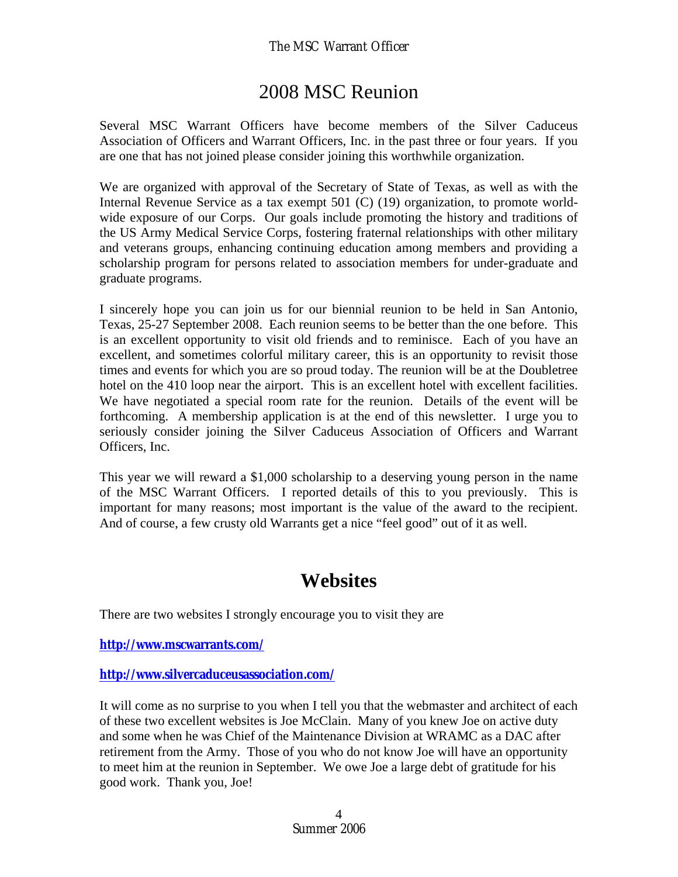### 2008 MSC Reunion

Several MSC Warrant Officers have become members of the Silver Caduceus Association of Officers and Warrant Officers, Inc. in the past three or four years. If you are one that has not joined please consider joining this worthwhile organization.

We are organized with approval of the Secretary of State of Texas, as well as with the Internal Revenue Service as a tax exempt 501 (C) (19) organization, to promote worldwide exposure of our Corps. Our goals include promoting the history and traditions of the US Army Medical Service Corps, fostering fraternal relationships with other military and veterans groups, enhancing continuing education among members and providing a scholarship program for persons related to association members for under-graduate and graduate programs.

I sincerely hope you can join us for our biennial reunion to be held in San Antonio, Texas, 25-27 September 2008. Each reunion seems to be better than the one before. This is an excellent opportunity to visit old friends and to reminisce. Each of you have an excellent, and sometimes colorful military career, this is an opportunity to revisit those times and events for which you are so proud today. The reunion will be at the Doubletree hotel on the 410 loop near the airport. This is an excellent hotel with excellent facilities. We have negotiated a special room rate for the reunion. Details of the event will be forthcoming. A membership application is at the end of this newsletter. I urge you to seriously consider joining the Silver Caduceus Association of Officers and Warrant Officers, Inc.

This year we will reward a \$1,000 scholarship to a deserving young person in the name of the MSC Warrant Officers. I reported details of this to you previously. This is important for many reasons; most important is the value of the award to the recipient. And of course, a few crusty old Warrants get a nice "feel good" out of it as well.

### **Websites**

There are two websites I strongly encourage you to visit they are

**http://www.mscwarrants.com/** 

**http://www.silvercaduceusassociation.com/** 

It will come as no surprise to you when I tell you that the webmaster and architect of each of these two excellent websites is Joe McClain. Many of you knew Joe on active duty and some when he was Chief of the Maintenance Division at WRAMC as a DAC after retirement from the Army. Those of you who do not know Joe will have an opportunity to meet him at the reunion in September. We owe Joe a large debt of gratitude for his good work. Thank you, Joe!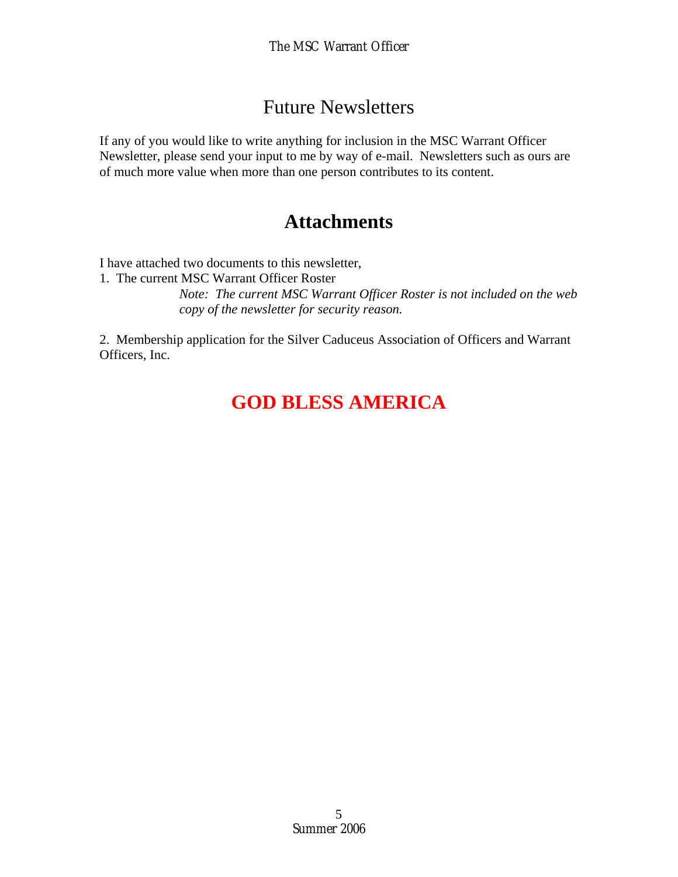#### Future Newsletters

If any of you would like to write anything for inclusion in the MSC Warrant Officer Newsletter, please send your input to me by way of e-mail. Newsletters such as ours are of much more value when more than one person contributes to its content.

#### **Attachments**

I have attached two documents to this newsletter,

1. The current MSC Warrant Officer Roster

*Note: The current MSC Warrant Officer Roster is not included on the web copy of the newsletter for security reason.* 

2. Membership application for the Silver Caduceus Association of Officers and Warrant Officers, Inc.

## **GOD BLESS AMERICA**